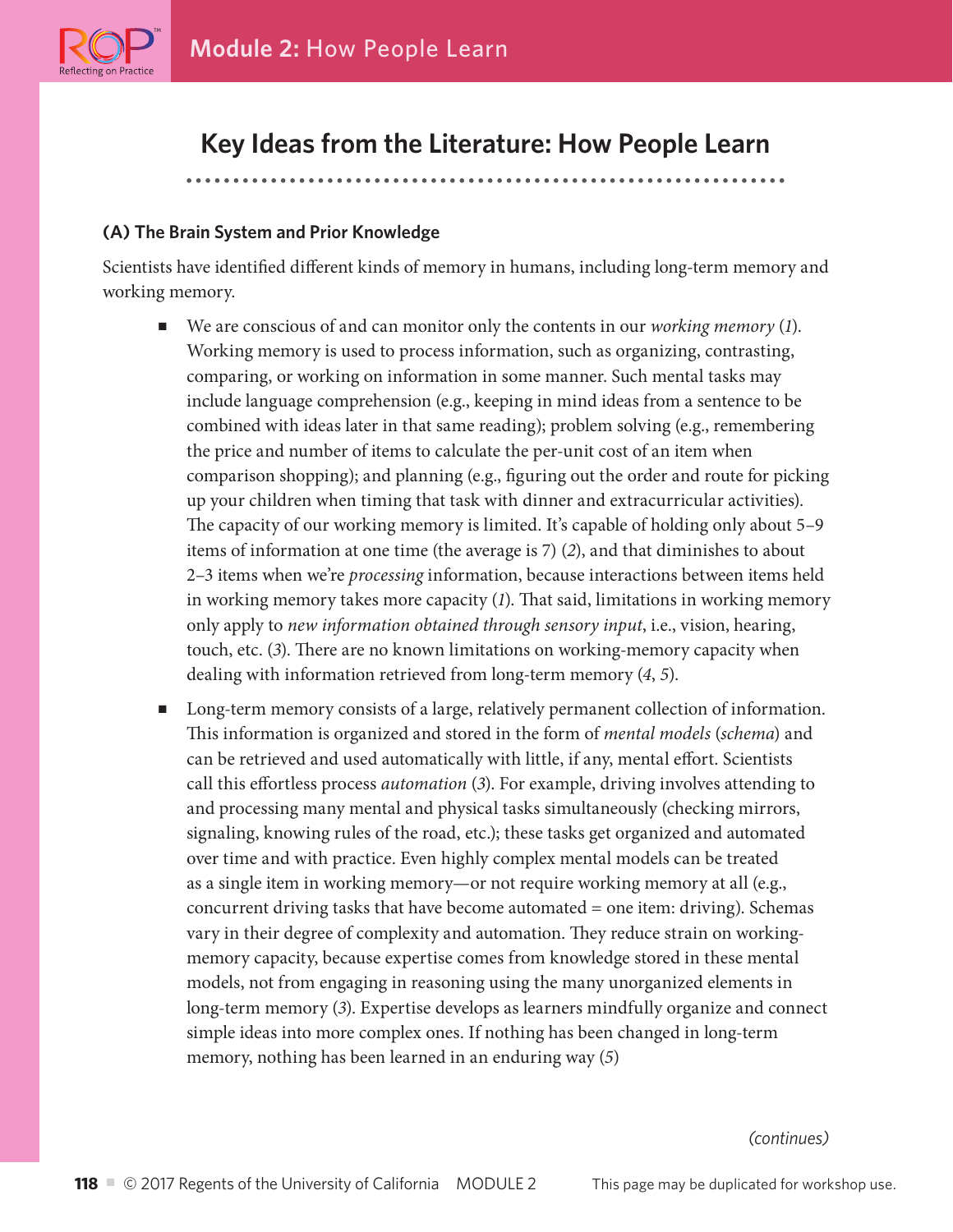

# **Key Ideas from the Literature: How People Learn**

### **(A) The Brain System and Prior Knowledge**

Scientists have identified different kinds of memory in humans, including long-term memory and working memory.

- We are conscious of and can monitor only the contents in our *working memory* (1). Working memory is used to process information, such as organizing, contrasting, comparing, or working on information in some manner. Such mental tasks may include language comprehension (e.g., keeping in mind ideas from a sentence to be combined with ideas later in that same reading); problem solving (e.g., remembering the price and number of items to calculate the per-unit cost of an item when comparison shopping); and planning (e.g., figuring out the order and route for picking up your children when timing that task with dinner and extracurricular activities). The capacity of our working memory is limited. It's capable of holding only about 5–9 items of information at one time (the average is 7) (*2*), and that diminishes to about 2–3 items when we're *processing* information, because interactions between items held in working memory takes more capacity (*1*). That said, limitations in working memory only apply to *new information obtained through sensory input*, i.e., vision, hearing, touch, etc. (*3*). There are no known limitations on working-memory capacity when dealing with information retrieved from long-term memory (*4*, *5*).
- Long-term memory consists of a large, relatively permanent collection of information. This information is organized and stored in the form of *mental models* (*schema*) and can be retrieved and used automatically with little, if any, mental effort. Scientists call this effortless process *automation* (*3*). For example, driving involves attending to and processing many mental and physical tasks simultaneously (checking mirrors, signaling, knowing rules of the road, etc.); these tasks get organized and automated over time and with practice. Even highly complex mental models can be treated as a single item in working memory—or not require working memory at all (e.g., concurrent driving tasks that have become automated = one item: driving). Schemas vary in their degree of complexity and automation. They reduce strain on workingmemory capacity, because expertise comes from knowledge stored in these mental models, not from engaging in reasoning using the many unorganized elements in long-term memory (*3*). Expertise develops as learners mindfully organize and connect simple ideas into more complex ones. If nothing has been changed in long-term memory, nothing has been learned in an enduring way (*5*)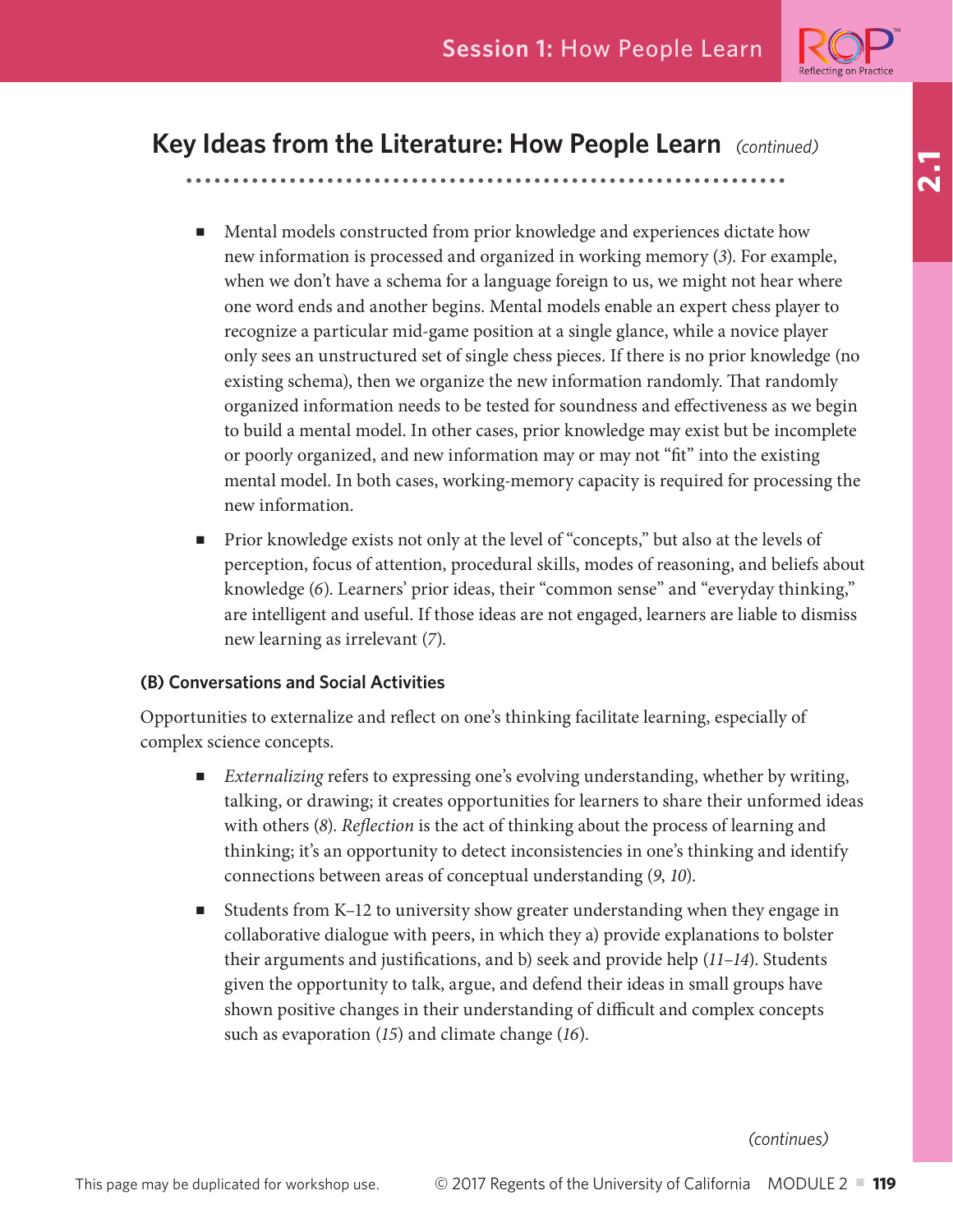

**2.1**

# **Key Ideas from the Literature: How People Learn** *(continued)*

- Mental models constructed from prior knowledge and experiences dictate how new information is processed and organized in working memory (*3*). For example, when we don't have a schema for a language foreign to us, we might not hear where one word ends and another begins. Mental models enable an expert chess player to recognize a particular mid-game position at a single glance, while a novice player only sees an unstructured set of single chess pieces. If there is no prior knowledge (no existing schema), then we organize the new information randomly. That randomly organized information needs to be tested for soundness and effectiveness as we begin to build a mental model. In other cases, prior knowledge may exist but be incomplete or poorly organized, and new information may or may not "fit" into the existing mental model. In both cases, working-memory capacity is required for processing the new information.
- Prior knowledge exists not only at the level of "concepts," but also at the levels of perception, focus of attention, procedural skills, modes of reasoning, and beliefs about knowledge (*6*). Learners' prior ideas, their "common sense" and "everyday thinking," are intelligent and useful. If those ideas are not engaged, learners are liable to dismiss new learning as irrelevant (*7*).

## **(B) Conversations and Social Activities**

Opportunities to externalize and reflect on one's thinking facilitate learning, especially of complex science concepts.

- *Externalizing* refers to expressing one's evolving understanding, whether by writing, talking, or drawing; it creates opportunities for learners to share their unformed ideas with others (*8*). *Reflection* is the act of thinking about the process of learning and thinking; it's an opportunity to detect inconsistencies in one's thinking and identify connections between areas of conceptual understanding (*9*, *10*).
- Students from K–12 to university show greater understanding when they engage in collaborative dialogue with peers, in which they a) provide explanations to bolster their arguments and justifications, and b) seek and provide help (*11*–*14*). Students given the opportunity to talk, argue, and defend their ideas in small groups have shown positive changes in their understanding of difficult and complex concepts such as evaporation (*15*) and climate change (*16*).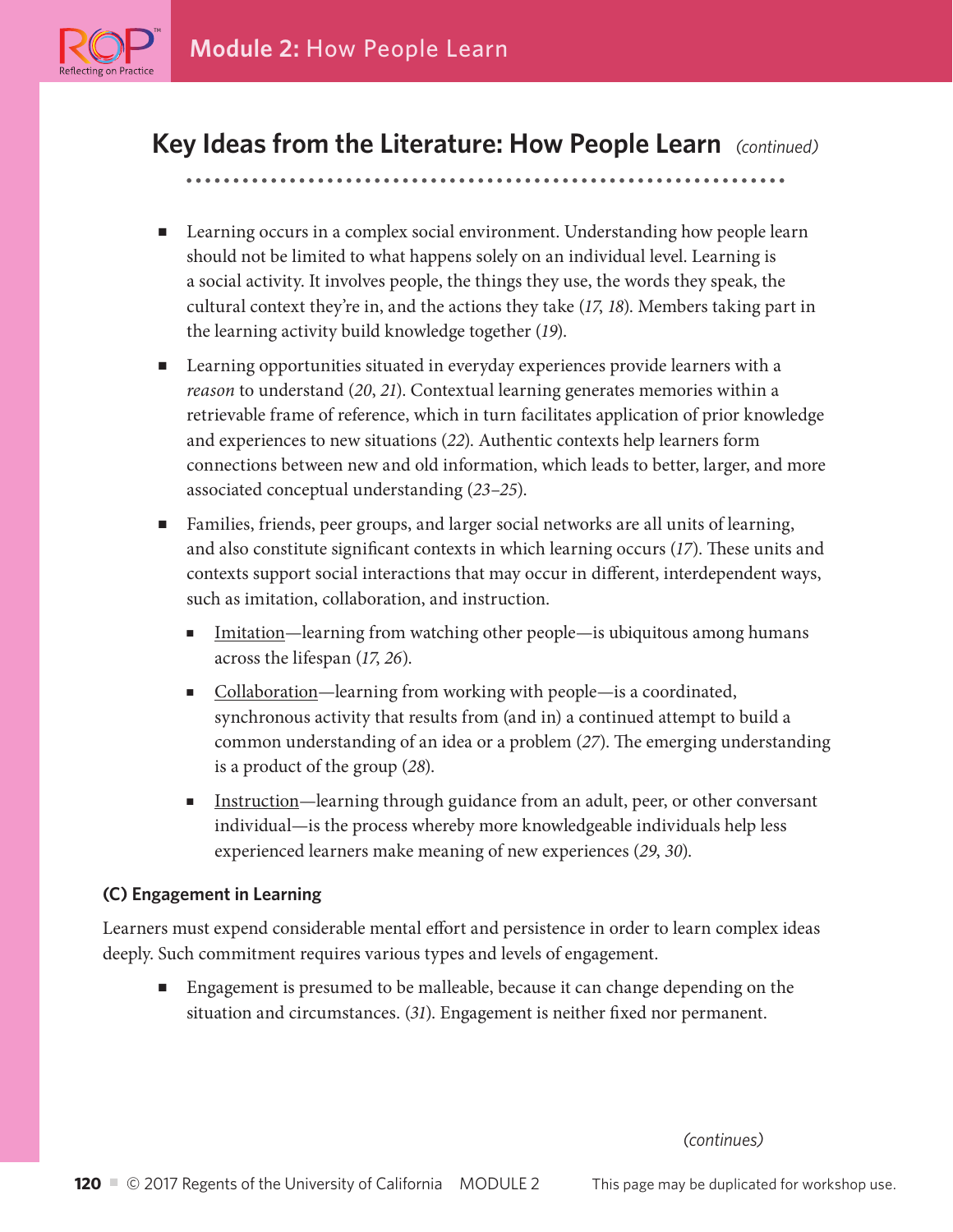

eflecting on Practice?

# **Key Ideas from the Literature: How People Learn** *(continued)*

## ■ Learning occurs in a complex social environment. Understanding how people learn should not be limited to what happens solely on an individual level. Learning is a social activity. It involves people, the things they use, the words they speak, the cultural context they're in, and the actions they take (*17*, *18*). Members taking part in the learning activity build knowledge together (*19*).

- Learning opportunities situated in everyday experiences provide learners with a *reason* to understand (*20*, *21*). Contextual learning generates memories within a retrievable frame of reference, which in turn facilitates application of prior knowledge and experiences to new situations (*22*). Authentic contexts help learners form connections between new and old information, which leads to better, larger, and more associated conceptual understanding (*23*–*25*).
- Families, friends, peer groups, and larger social networks are all units of learning, and also constitute significant contexts in which learning occurs (*17*). These units and contexts support social interactions that may occur in different, interdependent ways, such as imitation, collaboration, and instruction.
	- Imitation—learning from watching other people—is ubiquitous among humans across the lifespan (*17*, *26*).
	- Collaboration—learning from working with people—is a coordinated, synchronous activity that results from (and in) a continued attempt to build a common understanding of an idea or a problem (*27*). The emerging understanding is a product of the group (*28*).
	- Instruction—learning through guidance from an adult, peer, or other conversant individual—is the process whereby more knowledgeable individuals help less experienced learners make meaning of new experiences (*29*, *30*).

## **(C) Engagement in Learning**

Learners must expend considerable mental effort and persistence in order to learn complex ideas deeply. Such commitment requires various types and levels of engagement.

■ Engagement is presumed to be malleable, because it can change depending on the situation and circumstances. (*31*). Engagement is neither fixed nor permanent.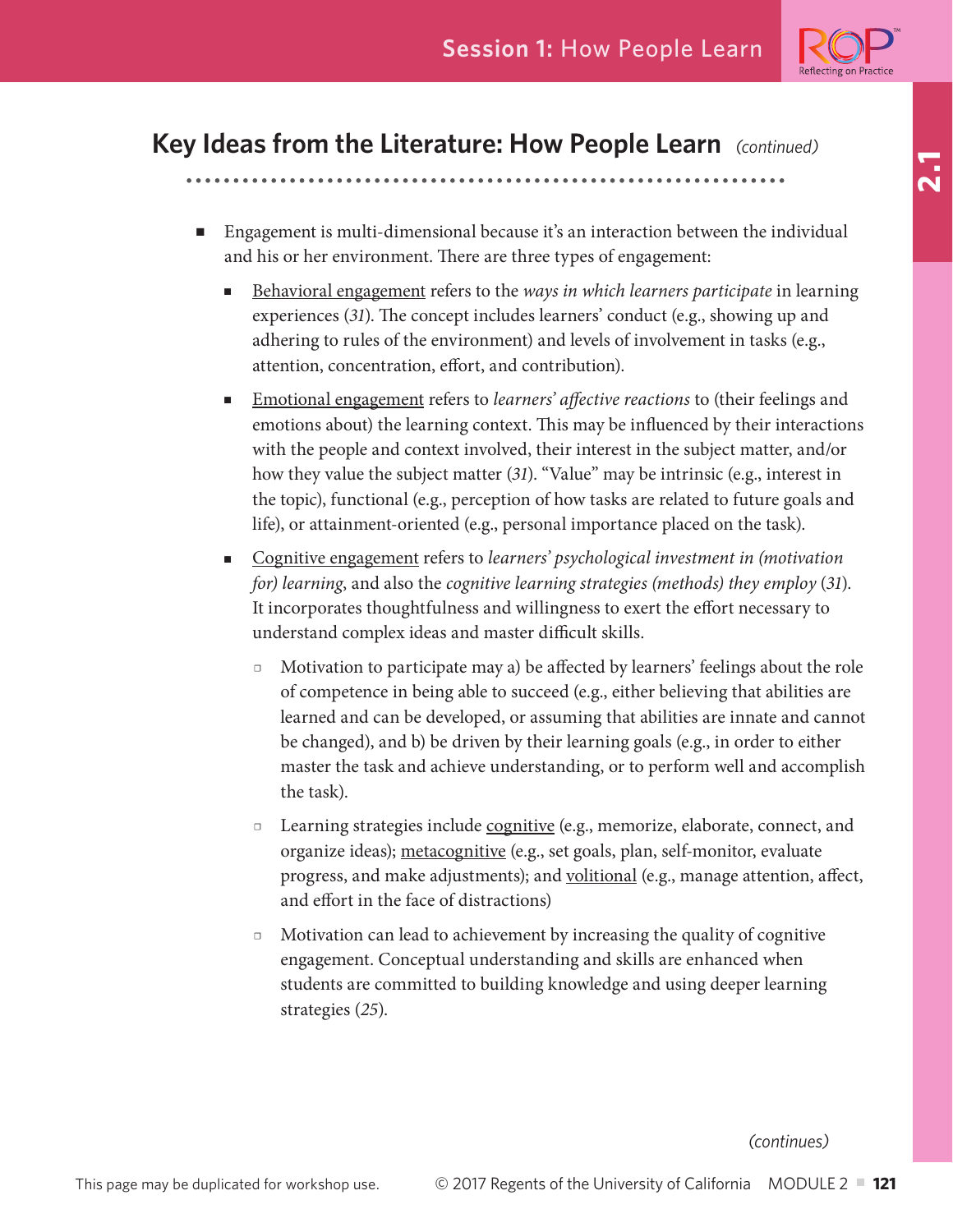

# **Key Ideas from the Literature: How People Learn** *(continued)*

- Engagement is multi-dimensional because it's an interaction between the individual and his or her environment. There are three types of engagement:
	- Behavioral engagement refers to the *ways in which learners participate* in learning experiences (*31*). The concept includes learners' conduct (e.g., showing up and adhering to rules of the environment) and levels of involvement in tasks (e.g., attention, concentration, effort, and contribution).
	- Emotional engagement refers to *learners' affective reactions* to (their feelings and emotions about) the learning context. This may be influenced by their interactions with the people and context involved, their interest in the subject matter, and/or how they value the subject matter (*31*). "Value" may be intrinsic (e.g., interest in the topic), functional (e.g., perception of how tasks are related to future goals and life), or attainment-oriented (e.g., personal importance placed on the task).
	- Cognitive engagement refers to *learners' psychological investment in (motivation for) learning*, and also the *cognitive learning strategies (methods) they employ* (*31*). It incorporates thoughtfulness and willingness to exert the effort necessary to understand complex ideas and master difficult skills.
		- □ Motivation to participate may a) be affected by learners' feelings about the role of competence in being able to succeed (e.g., either believing that abilities are learned and can be developed, or assuming that abilities are innate and cannot be changed), and b) be driven by their learning goals (e.g., in order to either master the task and achieve understanding, or to perform well and accomplish the task).
		- □ Learning strategies include cognitive (e.g., memorize, elaborate, connect, and organize ideas); metacognitive (e.g., set goals, plan, self-monitor, evaluate progress, and make adjustments); and volitional (e.g., manage attention, affect, and effort in the face of distractions)
		- Motivation can lead to achievement by increasing the quality of cognitive engagement. Conceptual understanding and skills are enhanced when students are committed to building knowledge and using deeper learning strategies (*25*).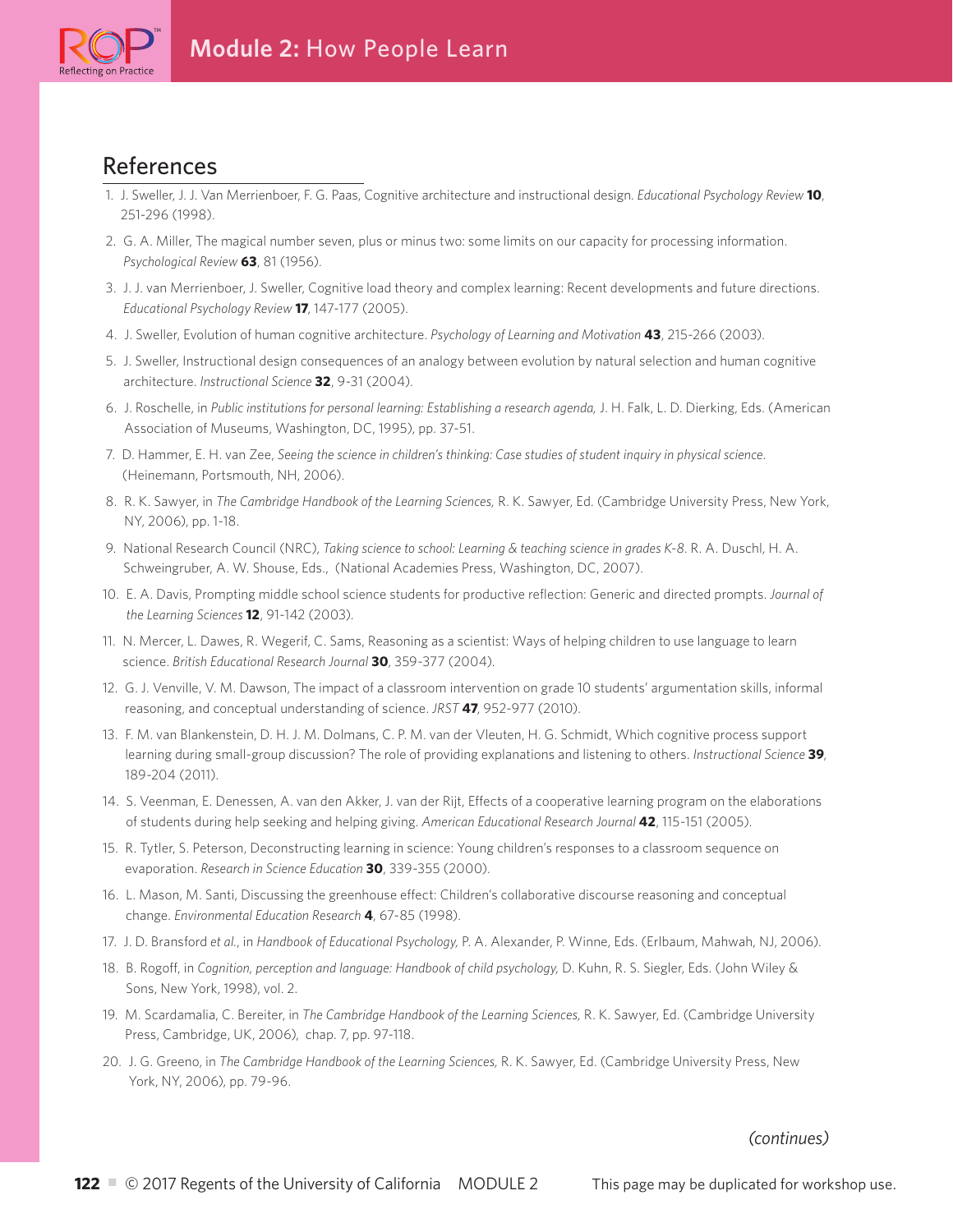

# References

- 1. J. Sweller, J. J. Van Merrienboer, F. G. Paas, Cognitive architecture and instructional design. *Educational Psychology Review* **10**, 251-296 (1998).
- 2. G. A. Miller, The magical number seven, plus or minus two: some limits on our capacity for processing information. *Psychological Review* **63**, 81 (1956).
- 3. J. J. van Merrienboer, J. Sweller, Cognitive load theory and complex learning: Recent developments and future directions. *Educational Psychology Review* **17**, 147-177 (2005).
- 4. J. Sweller, Evolution of human cognitive architecture. *Psychology of Learning and Motivation* **43**, 215-266 (2003).
- 5. J. Sweller, Instructional design consequences of an analogy between evolution by natural selection and human cognitive architecture. *Instructional Science* **32**, 9-31 (2004).
- 6. J. Roschelle, in *Public institutions for personal learning: Establishing a research agenda,* J. H. Falk, L. D. Dierking, Eds. (American Association of Museums, Washington, DC, 1995), pp. 37-51.
- 7. D. Hammer, E. H. van Zee, *Seeing the science in children's thinking: Case studies of student inquiry in physical science*. (Heinemann, Portsmouth, NH, 2006).
- 8. R. K. Sawyer, in *The Cambridge Handbook of the Learning Sciences,* R. K. Sawyer, Ed. (Cambridge University Press, New York, NY, 2006), pp. 1-18.
- 9. National Research Council (NRC), *Taking science to school: Learning & teaching science in grades K-8*. R. A. Duschl, H. A. Schweingruber, A. W. Shouse, Eds., (National Academies Press, Washington, DC, 2007).
- 10. E. A. Davis, Prompting middle school science students for productive reflection: Generic and directed prompts. *Journal of the Learning Sciences* **12**, 91-142 (2003).
- 11. N. Mercer, L. Dawes, R. Wegerif, C. Sams, Reasoning as a scientist: Ways of helping children to use language to learn science. *British Educational Research Journal* **30**, 359-377 (2004).
- 12. G. J. Venville, V. M. Dawson, The impact of a classroom intervention on grade 10 students' argumentation skills, informal reasoning, and conceptual understanding of science. *JRST* **47**, 952-977 (2010).
- 13. F. M. van Blankenstein, D. H. J. M. Dolmans, C. P. M. van der Vleuten, H. G. Schmidt, Which cognitive process support learning during small-group discussion? The role of providing explanations and listening to others. *Instructional Science* **39**, 189-204 (2011).
- 14. S. Veenman, E. Denessen, A. van den Akker, J. van der Rijt, Effects of a cooperative learning program on the elaborations of students during help seeking and helping giving. *American Educational Research Journal* **42**, 115-151 (2005).
- 15. R. Tytler, S. Peterson, Deconstructing learning in science: Young children's responses to a classroom sequence on evaporation. *Research in Science Education* **30**, 339-355 (2000).
- 16. L. Mason, M. Santi, Discussing the greenhouse effect: Children's collaborative discourse reasoning and conceptual change. *Environmental Education Research* **4**, 67-85 (1998).
- 17. J. D. Bransford *et al.*, in *Handbook of Educational Psychology,* P. A. Alexander, P. Winne, Eds. (Erlbaum, Mahwah, NJ, 2006).
- 18. B. Rogoff, in *Cognition, perception and language: Handbook of child psychology,* D. Kuhn, R. S. Siegler, Eds. (John Wiley & Sons, New York, 1998), vol. 2.
- 19. M. Scardamalia, C. Bereiter, in *The Cambridge Handbook of the Learning Sciences,* R. K. Sawyer, Ed. (Cambridge University Press, Cambridge, UK, 2006), chap. 7, pp. 97-118.
- 20. J. G. Greeno, in *The Cambridge Handbook of the Learning Sciences,* R. K. Sawyer, Ed. (Cambridge University Press, New York, NY, 2006), pp. 79-96.